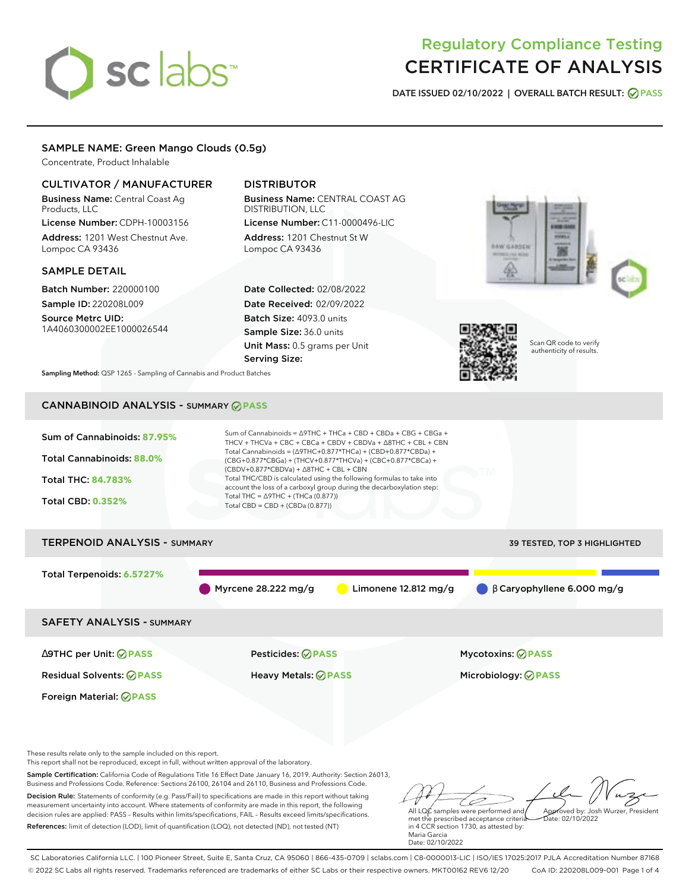# sclabs<sup>\*</sup>

# Regulatory Compliance Testing CERTIFICATE OF ANALYSIS

**DATE ISSUED 02/10/2022 | OVERALL BATCH RESULT: PASS**

# SAMPLE NAME: Green Mango Clouds (0.5g)

Concentrate, Product Inhalable

# CULTIVATOR / MANUFACTURER

Business Name: Central Coast Ag Products, LLC

License Number: CDPH-10003156 Address: 1201 West Chestnut Ave. Lompoc CA 93436

# SAMPLE DETAIL

Batch Number: 220000100 Sample ID: 220208L009

Source Metrc UID: 1A4060300002EE1000026544

# DISTRIBUTOR

Business Name: CENTRAL COAST AG DISTRIBUTION, LLC License Number: C11-0000496-LIC

Address: 1201 Chestnut St W Lompoc CA 93436

Date Collected: 02/08/2022 Date Received: 02/09/2022 Batch Size: 4093.0 units Sample Size: 36.0 units Unit Mass: 0.5 grams per Unit Serving Size:





Scan QR code to verify authenticity of results.

**Sampling Method:** QSP 1265 - Sampling of Cannabis and Product Batches

# CANNABINOID ANALYSIS - SUMMARY **PASS**

| Sum of Cannabinoids: 87.95%<br><b>Total Cannabinoids: 88.0%</b><br><b>Total THC: 84.783%</b><br><b>Total CBD: 0.352%</b> | Sum of Cannabinoids = $\triangle$ 9THC + THCa + CBD + CBDa + CBG + CBGa +<br>THCV + THCVa + CBC + CBCa + CBDV + CBDVa + $\Delta$ 8THC + CBL + CBN<br>Total Cannabinoids = $(\Delta$ 9THC+0.877*THCa) + (CBD+0.877*CBDa) +<br>(CBG+0.877*CBGa) + (THCV+0.877*THCVa) + (CBC+0.877*CBCa) +<br>$(CBDV+0.877*CBDVa) + \Delta 8THC + CBL + CBN$<br>Total THC/CBD is calculated using the following formulas to take into<br>account the loss of a carboxyl group during the decarboxylation step:<br>Total THC = $\triangle$ 9THC + (THCa (0.877))<br>Total CBD = $CBD + (CBDa (0.877))$ |                                  |  |  |  |  |  |
|--------------------------------------------------------------------------------------------------------------------------|------------------------------------------------------------------------------------------------------------------------------------------------------------------------------------------------------------------------------------------------------------------------------------------------------------------------------------------------------------------------------------------------------------------------------------------------------------------------------------------------------------------------------------------------------------------------------------|----------------------------------|--|--|--|--|--|
| <b>TERPENOID ANALYSIS - SUMMARY</b><br>39 TESTED, TOP 3 HIGHLIGHTED                                                      |                                                                                                                                                                                                                                                                                                                                                                                                                                                                                                                                                                                    |                                  |  |  |  |  |  |
| Total Terpenoids: 6.5727%                                                                                                | Myrcene $28.222$ mg/g<br>Limonene $12.812 \text{ mg/g}$                                                                                                                                                                                                                                                                                                                                                                                                                                                                                                                            | $\beta$ Garyophyllene 6.000 mg/g |  |  |  |  |  |
| <b>SAFETY ANALYSIS - SUMMARY</b>                                                                                         |                                                                                                                                                                                                                                                                                                                                                                                                                                                                                                                                                                                    |                                  |  |  |  |  |  |
| $\triangle$ 9THC per Unit: $\oslash$ PASS                                                                                | Pesticides: ⊘PASS                                                                                                                                                                                                                                                                                                                                                                                                                                                                                                                                                                  | <b>Mycotoxins: ⊘PASS</b>         |  |  |  |  |  |
| <b>Residual Solvents: ⊘PASS</b>                                                                                          | Heavy Metals: ⊘PASS                                                                                                                                                                                                                                                                                                                                                                                                                                                                                                                                                                | Microbiology: @PASS              |  |  |  |  |  |

These results relate only to the sample included on this report.

Foreign Material: **PASS**

This report shall not be reproduced, except in full, without written approval of the laboratory.

Sample Certification: California Code of Regulations Title 16 Effect Date January 16, 2019. Authority: Section 26013, Business and Professions Code. Reference: Sections 26100, 26104 and 26110, Business and Professions Code.

Decision Rule: Statements of conformity (e.g. Pass/Fail) to specifications are made in this report without taking measurement uncertainty into account. Where statements of conformity are made in this report, the following decision rules are applied: PASS – Results within limits/specifications, FAIL – Results exceed limits/specifications. References: limit of detection (LOD), limit of quantification (LOQ), not detected (ND), not tested (NT)

All LQC samples were performed and Approved by: Josh Wurzer, President Date: 02/10/2022

met the prescribed acceptance criteria in 4 CCR section 1730, as attested by: Maria Garcia Date: 02/10/2022

SC Laboratories California LLC. | 100 Pioneer Street, Suite E, Santa Cruz, CA 95060 | 866-435-0709 | sclabs.com | C8-0000013-LIC | ISO/IES 17025:2017 PJLA Accreditation Number 87168 © 2022 SC Labs all rights reserved. Trademarks referenced are trademarks of either SC Labs or their respective owners. MKT00162 REV6 12/20 CoA ID: 220208L009-001 Page 1 of 4